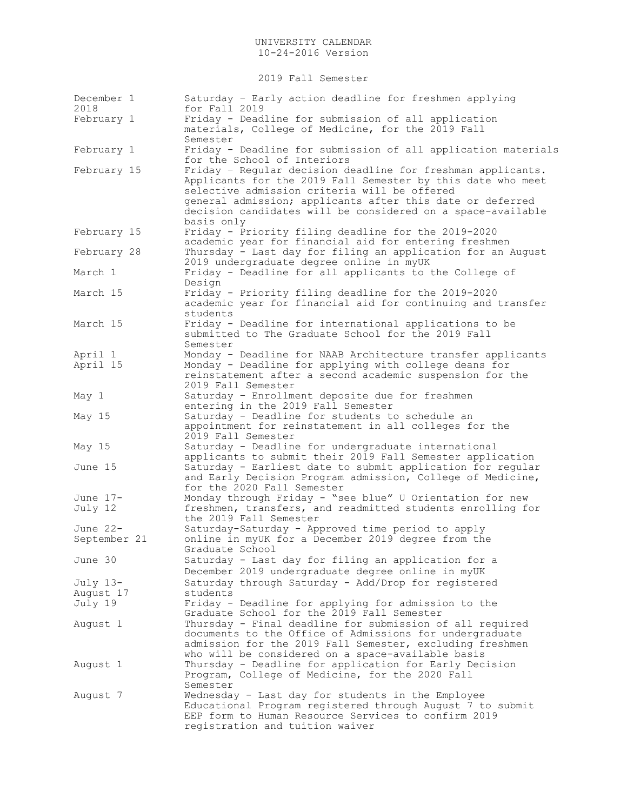2019 Fall Semester

| December 1<br>2018       | Saturday - Early action deadline for freshmen applying<br>for Fall 2019                                                                                                                                                                                                                                              |
|--------------------------|----------------------------------------------------------------------------------------------------------------------------------------------------------------------------------------------------------------------------------------------------------------------------------------------------------------------|
| February 1               | Friday - Deadline for submission of all application<br>materials, College of Medicine, for the 2019 Fall<br>Semester                                                                                                                                                                                                 |
| February 1               | Friday - Deadline for submission of all application materials<br>for the School of Interiors                                                                                                                                                                                                                         |
| February 15              | Friday - Regular decision deadline for freshman applicants.<br>Applicants for the 2019 Fall Semester by this date who meet<br>selective admission criteria will be offered<br>general admission; applicants after this date or deferred<br>decision candidates will be considered on a space-available<br>basis only |
| February 15              | Friday - Priority filing deadline for the 2019-2020<br>academic year for financial aid for entering freshmen                                                                                                                                                                                                         |
| February 28              | Thursday - Last day for filing an application for an August<br>2019 undergraduate degree online in myUK                                                                                                                                                                                                              |
| March 1                  | Friday - Deadline for all applicants to the College of<br>Design                                                                                                                                                                                                                                                     |
| March 15                 | Friday - Priority filing deadline for the 2019-2020<br>academic year for financial aid for continuing and transfer<br>students                                                                                                                                                                                       |
| March 15                 | Friday - Deadline for international applications to be<br>submitted to The Graduate School for the 2019 Fall<br>Semester                                                                                                                                                                                             |
| April 1                  | Monday - Deadline for NAAB Architecture transfer applicants                                                                                                                                                                                                                                                          |
| April 15                 | Monday - Deadline for applying with college deans for<br>reinstatement after a second academic suspension for the<br>2019 Fall Semester                                                                                                                                                                              |
| May 1                    | Saturday - Enrollment deposite due for freshmen<br>entering in the 2019 Fall Semester                                                                                                                                                                                                                                |
| May 15                   | Saturday - Deadline for students to schedule an<br>appointment for reinstatement in all colleges for the<br>2019 Fall Semester                                                                                                                                                                                       |
| May 15                   | Saturday - Deadline for undergraduate international<br>applicants to submit their 2019 Fall Semester application                                                                                                                                                                                                     |
| June 15                  | Saturday - Earliest date to submit application for regular<br>and Early Decision Program admission, College of Medicine,<br>for the 2020 Fall Semester                                                                                                                                                               |
| June 17-<br>July 12      | Monday through Friday - "see blue" U Orientation for new<br>freshmen, transfers, and readmitted students enrolling for<br>the 2019 Fall Semester                                                                                                                                                                     |
| June 22-<br>September 21 | Saturday-Saturday - Approved time period to apply<br>online in myUK for a December 2019 degree from the<br>Graduate School                                                                                                                                                                                           |
| June 30                  | Saturday - Last day for filing an application for a<br>December 2019 undergraduate degree online in myUK                                                                                                                                                                                                             |
| July 13-                 | Saturday through Saturday - Add/Drop for registered                                                                                                                                                                                                                                                                  |
| August 17                | students                                                                                                                                                                                                                                                                                                             |
| July 19                  | Friday - Deadline for applying for admission to the<br>Graduate School for the 2019 Fall Semester                                                                                                                                                                                                                    |
| August 1                 | Thursday - Final deadline for submission of all required<br>documents to the Office of Admissions for undergraduate<br>admission for the 2019 Fall Semester, excluding freshmen<br>who will be considered on a space-available basis                                                                                 |
| August 1                 | Thursday - Deadline for application for Early Decision<br>Program, College of Medicine, for the 2020 Fall<br>Semester                                                                                                                                                                                                |
| August 7                 | Wednesday - Last day for students in the Employee<br>Educational Program registered through August 7 to submit<br>EEP form to Human Resource Services to confirm 2019<br>registration and tuition waiver                                                                                                             |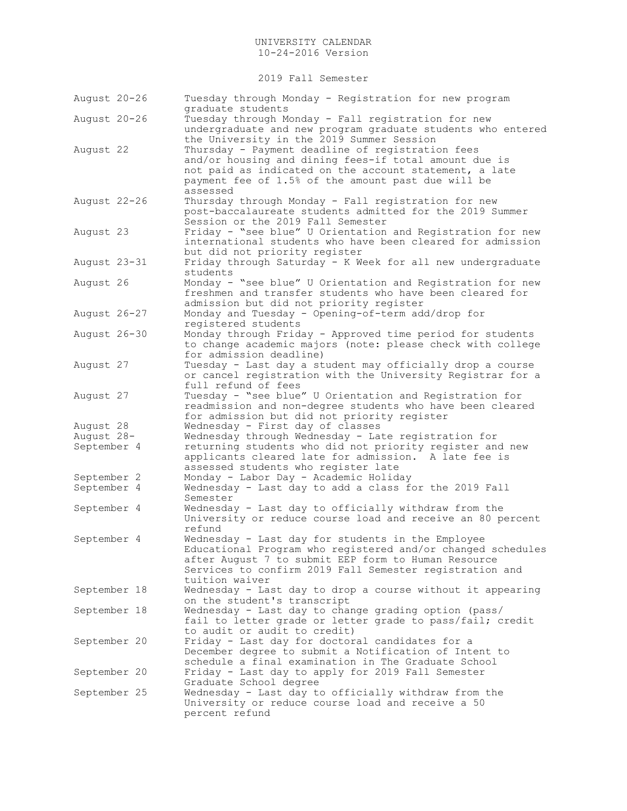2019 Fall Semester

| August 20-26 | Tuesday through Monday - Registration for new program<br>graduate students                                                                                                                                                                           |
|--------------|------------------------------------------------------------------------------------------------------------------------------------------------------------------------------------------------------------------------------------------------------|
| August 20-26 | Tuesday through Monday - Fall registration for new<br>undergraduate and new program graduate students who entered<br>the University in the 2019 Summer Session                                                                                       |
| August 22    | Thursday - Payment deadline of registration fees<br>and/or housing and dining fees-if total amount due is<br>not paid as indicated on the account statement, a late<br>payment fee of 1.5% of the amount past due will be<br>assessed                |
| August 22-26 | Thursday through Monday - Fall registration for new<br>post-baccalaureate students admitted for the 2019 Summer<br>Session or the 2019 Fall Semester                                                                                                 |
| August 23    | Friday - "see blue" U Orientation and Registration for new<br>international students who have been cleared for admission<br>but did not priority register                                                                                            |
| August 23-31 | Friday through Saturday - K Week for all new undergraduate<br>students                                                                                                                                                                               |
| August 26    | Monday - "see blue" U Orientation and Registration for new<br>freshmen and transfer students who have been cleared for<br>admission but did not priority register                                                                                    |
| August 26-27 | Monday and Tuesday - Opening-of-term add/drop for<br>registered students                                                                                                                                                                             |
| August 26-30 | Monday through Friday - Approved time period for students<br>to change academic majors (note: please check with college<br>for admission deadline)                                                                                                   |
| August 27    | Tuesday - Last day a student may officially drop a course<br>or cancel registration with the University Registrar for a<br>full refund of fees                                                                                                       |
| August 27    | Tuesday - "see blue" U Orientation and Registration for<br>readmission and non-degree students who have been cleared<br>for admission but did not priority register                                                                                  |
| August 28    | Wednesday - First day of classes                                                                                                                                                                                                                     |
| August 28-   | Wednesday through Wednesday - Late registration for                                                                                                                                                                                                  |
| September 4  | returning students who did not priority register and new<br>applicants cleared late for admission. A late fee is<br>assessed students who register late                                                                                              |
| September 2  | Monday - Labor Day - Academic Holiday                                                                                                                                                                                                                |
| September 4  | Wednesday - Last day to add a class for the 2019 Fall<br>Semester                                                                                                                                                                                    |
| September 4  | Wednesday - Last day to officially withdraw from the<br>University or reduce course load and receive an 80 percent<br>refund                                                                                                                         |
| September 4  | Wednesday - Last day for students in the Employee<br>Educational Program who registered and/or changed schedules<br>after August 7 to submit EEP form to Human Resource<br>Services to confirm 2019 Fall Semester registration and<br>tuition waiver |
| September 18 | Wednesday - Last day to drop a course without it appearing<br>on the student's transcript                                                                                                                                                            |
| September 18 | Wednesday - Last day to change grading option (pass/<br>fail to letter grade or letter grade to pass/fail; credit<br>to audit or audit to credit)                                                                                                    |
| September 20 | Friday - Last day for doctoral candidates for a<br>December degree to submit a Notification of Intent to<br>schedule a final examination in The Graduate School                                                                                      |
| September 20 | Friday - Last day to apply for 2019 Fall Semester<br>Graduate School degree                                                                                                                                                                          |
| September 25 | Wednesday - Last day to officially withdraw from the<br>University or reduce course load and receive a 50<br>percent refund                                                                                                                          |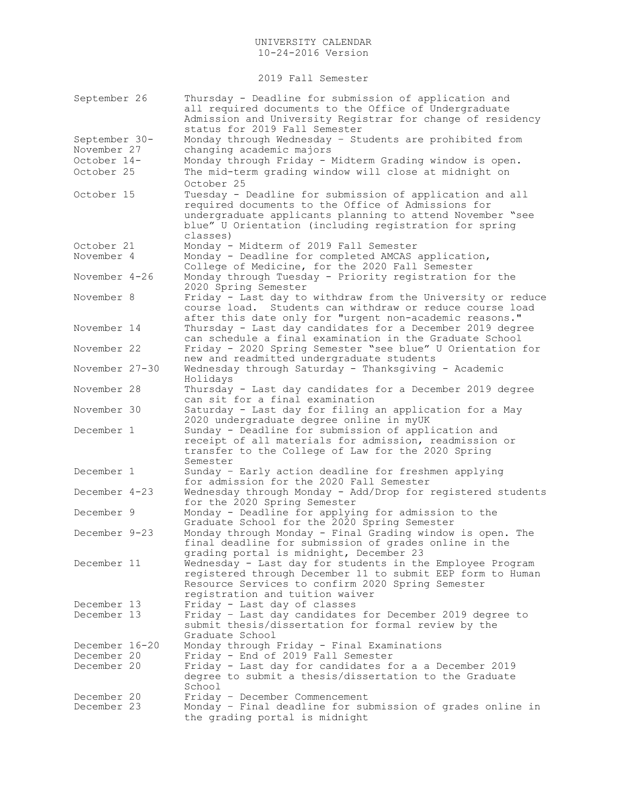2019 Fall Semester

| September 26                                              | Thursday - Deadline for submission of application and<br>all required documents to the Office of Undergraduate<br>Admission and University Registrar for change of residency<br>status for 2019 Fall Semester                                     |
|-----------------------------------------------------------|---------------------------------------------------------------------------------------------------------------------------------------------------------------------------------------------------------------------------------------------------|
| September 30-<br>November 27<br>October 14-<br>October 25 | Monday through Wednesday - Students are prohibited from<br>changing academic majors<br>Monday through Friday - Midterm Grading window is open.<br>The mid-term grading window will close at midnight on<br>October 25                             |
| October 15                                                | Tuesday - Deadline for submission of application and all<br>required documents to the Office of Admissions for<br>undergraduate applicants planning to attend November "see<br>blue" U Orientation (including registration for spring<br>classes) |
| October 21                                                | Monday - Midterm of 2019 Fall Semester                                                                                                                                                                                                            |
| November 4                                                | Monday - Deadline for completed AMCAS application,<br>College of Medicine, for the 2020 Fall Semester                                                                                                                                             |
| November 4-26                                             | Monday through Tuesday - Priority registration for the<br>2020 Spring Semester                                                                                                                                                                    |
| November 8                                                | Friday - Last day to withdraw from the University or reduce<br>Students can withdraw or reduce course load<br>course load.<br>after this date only for "urgent non-academic reasons."                                                             |
| November 14                                               | Thursday - Last day candidates for a December 2019 degree<br>can schedule a final examination in the Graduate School                                                                                                                              |
| November 22                                               | Friday - 2020 Spring Semester "see blue" U Orientation for<br>new and readmitted undergraduate students                                                                                                                                           |
| November 27-30                                            | Wednesday through Saturday - Thanksgiving - Academic<br>Holidays                                                                                                                                                                                  |
| November 28                                               | Thursday - Last day candidates for a December 2019 degree<br>can sit for a final examination                                                                                                                                                      |
| November 30                                               | Saturday - Last day for filing an application for a May<br>2020 undergraduate degree online in myUK                                                                                                                                               |
| December 1                                                | Sunday - Deadline for submission of application and<br>receipt of all materials for admission, readmission or<br>transfer to the College of Law for the 2020 Spring<br>Semester                                                                   |
| December 1                                                | Sunday - Early action deadline for freshmen applying<br>for admission for the 2020 Fall Semester                                                                                                                                                  |
| December 4-23                                             | Wednesday through Monday - Add/Drop for registered students<br>for the 2020 Spring Semester                                                                                                                                                       |
| December 9                                                | Monday - Deadline for applying for admission to the<br>Graduate School for the 2020 Spring Semester                                                                                                                                               |
| December 9-23                                             | Monday through Monday - Final Grading window is open. The<br>final deadline for submission of grades online in the<br>grading portal is midnight, December 23                                                                                     |
| December 11                                               | Wednesday - Last day for students in the Employee Program<br>registered through December 11 to submit EEP form to Human<br>Resource Services to confirm 2020 Spring Semester<br>registration and tuition waiver                                   |
| December 13                                               | Friday - Last day of classes                                                                                                                                                                                                                      |
| December 13                                               | Friday - Last day candidates for December 2019 degree to<br>submit thesis/dissertation for formal review by the<br>Graduate School                                                                                                                |
| December 16-20                                            | Monday through Friday - Final Examinations                                                                                                                                                                                                        |
| December 20                                               | Friday - End of 2019 Fall Semester                                                                                                                                                                                                                |
| December 20                                               | Friday - Last day for candidates for a a December 2019<br>degree to submit a thesis/dissertation to the Graduate<br>School                                                                                                                        |
| December 20<br>December 23                                | Friday - December Commencement<br>Monday - Final deadline for submission of grades online in<br>the grading portal is midnight                                                                                                                    |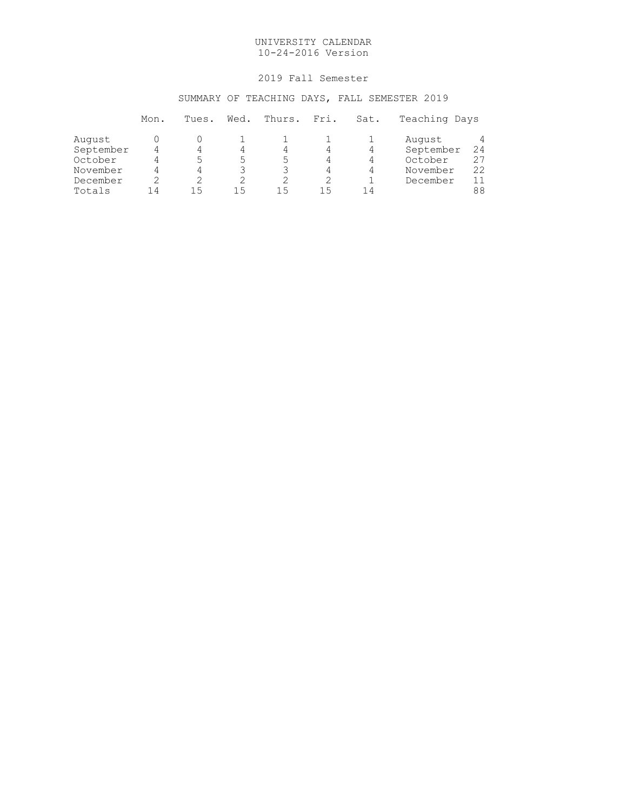# 2019 Fall Semester

# SUMMARY OF TEACHING DAYS, FALL SEMESTER 2019

|           | Mon. | Tues. | Wed. | Thurs. | Fri. | Sat. | Teaching Days |    |
|-----------|------|-------|------|--------|------|------|---------------|----|
| August    |      |       |      |        |      |      | August        | 4  |
| September |      | 4     | 4    | 4      |      | 4    | September     | 24 |
| October   |      |       | 5.   | ∽      |      | 4    | October       | 27 |
| November  |      | 4     |      |        | 4    | 4    | November      | 22 |
| December  |      |       |      |        |      |      | December      | 11 |
| Totals    | 14   | ר ו   | ר ו  | 15     | 15   | 14   |               | 88 |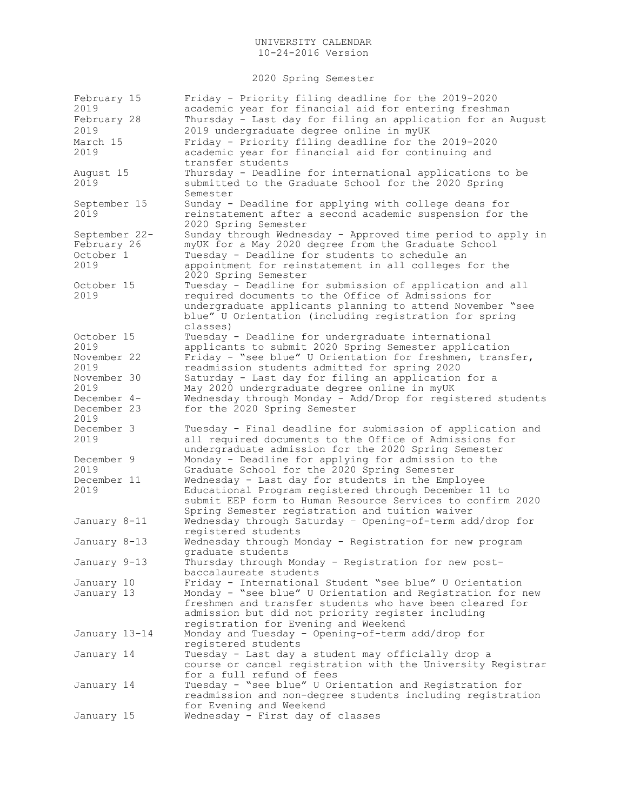2020 Spring Semester

| February 15<br>2019<br>February 28                | Friday - Priority filing deadline for the 2019-2020<br>academic year for financial aid for entering freshman<br>Thursday - Last day for filing an application for an August                                                                           |
|---------------------------------------------------|-------------------------------------------------------------------------------------------------------------------------------------------------------------------------------------------------------------------------------------------------------|
| 2019<br>March 15<br>2019                          | 2019 undergraduate degree online in myUK<br>Friday - Priority filing deadline for the 2019-2020<br>academic year for financial aid for continuing and                                                                                                 |
| August 15<br>2019                                 | transfer students<br>Thursday - Deadline for international applications to be<br>submitted to the Graduate School for the 2020 Spring<br>Semester                                                                                                     |
| September 15<br>2019                              | Sunday - Deadline for applying with college deans for<br>reinstatement after a second academic suspension for the<br>2020 Spring Semester                                                                                                             |
| September 22-<br>February 26<br>October 1<br>2019 | Sunday through Wednesday - Approved time period to apply in<br>myUK for a May 2020 degree from the Graduate School<br>Tuesday - Deadline for students to schedule an<br>appointment for reinstatement in all colleges for the<br>2020 Spring Semester |
| October 15<br>2019                                | Tuesday - Deadline for submission of application and all<br>required documents to the Office of Admissions for<br>undergraduate applicants planning to attend November "see<br>blue" U Orientation (including registration for spring<br>classes)     |
| October 15<br>2019<br>November 22                 | Tuesday - Deadline for undergraduate international<br>applicants to submit 2020 Spring Semester application<br>Friday - "see blue" U Orientation for freshmen, transfer,                                                                              |
| 2019<br>November 30<br>2019                       | readmission students admitted for spring 2020<br>Saturday - Last day for filing an application for a<br>May 2020 undergraduate degree online in myUK                                                                                                  |
| December 4-<br>December 23<br>2019                | Wednesday through Monday - Add/Drop for registered students<br>for the 2020 Spring Semester                                                                                                                                                           |
| December 3<br>2019                                | Tuesday - Final deadline for submission of application and<br>all required documents to the Office of Admissions for<br>undergraduate admission for the 2020 Spring Semester                                                                          |
| December 9<br>2019                                | Monday - Deadline for applying for admission to the<br>Graduate School for the 2020 Spring Semester                                                                                                                                                   |
| December 11<br>2019                               | Wednesday - Last day for students in the Employee<br>Educational Program registered through December 11 to<br>submit EEP form to Human Resource Services to confirm 2020<br>Spring Semester registration and tuition waiver                           |
| January 8-11                                      | Wednesday through Saturday - Opening-of-term add/drop for<br>registered students                                                                                                                                                                      |
| January 8-13                                      | Wednesday through Monday - Registration for new program<br>graduate students                                                                                                                                                                          |
| January 9-13                                      | Thursday through Monday - Registration for new post-<br>baccalaureate students                                                                                                                                                                        |
| January 10                                        | Friday - International Student "see blue" U Orientation                                                                                                                                                                                               |
| January 13                                        | Monday - "see blue" U Orientation and Registration for new<br>freshmen and transfer students who have been cleared for<br>admission but did not priority register including<br>registration for Evening and Weekend                                   |
| January 13-14                                     | Monday and Tuesday - Opening-of-term add/drop for<br>registered students                                                                                                                                                                              |
| January 14                                        | Tuesday - Last day a student may officially drop a<br>course or cancel registration with the University Registrar<br>for a full refund of fees                                                                                                        |
| January 14                                        | Tuesday - "see blue" U Orientation and Registration for<br>readmission and non-degree students including registration<br>for Evening and Weekend                                                                                                      |
| January 15                                        | Wednesday - First day of classes                                                                                                                                                                                                                      |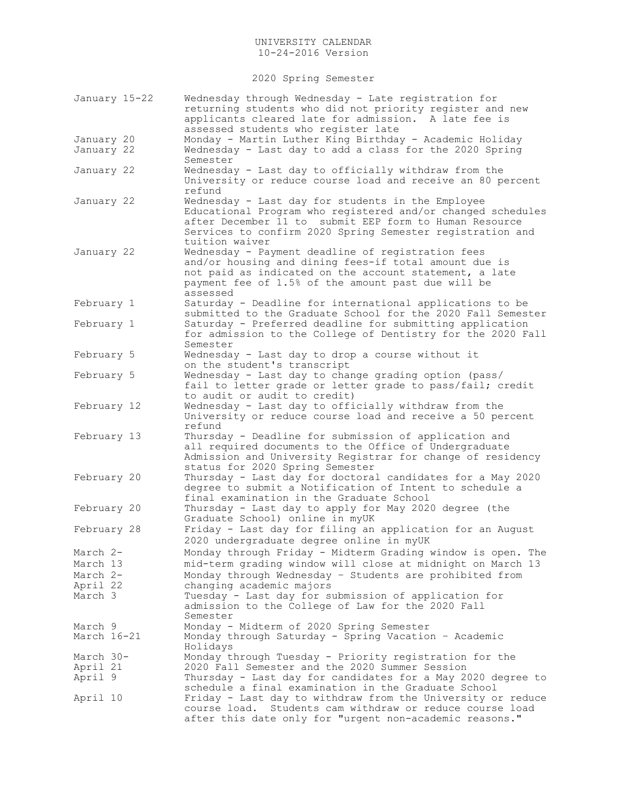2020 Spring Semester

| January 15-22 | Wednesday through Wednesday - Late registration for<br>returning students who did not priority register and new<br>applicants cleared late for admission. A late fee is<br>assessed students who register late                                            |
|---------------|-----------------------------------------------------------------------------------------------------------------------------------------------------------------------------------------------------------------------------------------------------------|
| January 20    | Monday - Martin Luther King Birthday - Academic Holiday                                                                                                                                                                                                   |
| January 22    | Wednesday - Last day to add a class for the 2020 Spring<br>Semester                                                                                                                                                                                       |
| January 22    | Wednesday - Last day to officially withdraw from the<br>University or reduce course load and receive an 80 percent<br>refund                                                                                                                              |
| January 22    | Wednesday - Last day for students in the Employee<br>Educational Program who registered and/or changed schedules<br>after December 11 to submit EEP form to Human Resource<br>Services to confirm 2020 Spring Semester registration and<br>tuition waiver |
| January 22    | Wednesday - Payment deadline of registration fees<br>and/or housing and dining fees-if total amount due is<br>not paid as indicated on the account statement, a late<br>payment fee of 1.5% of the amount past due will be<br>assessed                    |
| February 1    | Saturday - Deadline for international applications to be<br>submitted to the Graduate School for the 2020 Fall Semester                                                                                                                                   |
| February 1    | Saturday - Preferred deadline for submitting application<br>for admission to the College of Dentistry for the 2020 Fall<br>Semester                                                                                                                       |
| February 5    | Wednesday - Last day to drop a course without it<br>on the student's transcript                                                                                                                                                                           |
| February 5    | Wednesday - Last day to change grading option (pass/<br>fail to letter grade or letter grade to pass/fail; credit<br>to audit or audit to credit)                                                                                                         |
| February 12   | Wednesday - Last day to officially withdraw from the<br>University or reduce course load and receive a 50 percent<br>refund                                                                                                                               |
| February 13   | Thursday - Deadline for submission of application and<br>all required documents to the Office of Undergraduate<br>Admission and University Registrar for change of residency<br>status for 2020 Spring Semester                                           |
| February 20   | Thursday - Last day for doctoral candidates for a May 2020<br>degree to submit a Notification of Intent to schedule a<br>final examination in the Graduate School                                                                                         |
| February 20   | Thursday - Last day to apply for May 2020 degree (the<br>Graduate School) online in myUK                                                                                                                                                                  |
| February 28   | Friday - Last day for filing an application for an August<br>2020 undergraduate degree online in myUK                                                                                                                                                     |
| March 2-      | Monday through Friday - Midterm Grading window is open. The                                                                                                                                                                                               |
| March 13      | mid-term grading window will close at midnight on March 13                                                                                                                                                                                                |
| March 2-      | Monday through Wednesday - Students are prohibited from                                                                                                                                                                                                   |
| April 22      | changing academic majors                                                                                                                                                                                                                                  |
| March 3       | Tuesday - Last day for submission of application for<br>admission to the College of Law for the 2020 Fall<br>Semester                                                                                                                                     |
| March 9       | Monday - Midterm of 2020 Spring Semester                                                                                                                                                                                                                  |
| March 16-21   | Monday through Saturday - Spring Vacation - Academic<br>Holidays                                                                                                                                                                                          |
| March 30-     | Monday through Tuesday - Priority registration for the                                                                                                                                                                                                    |
| April 21      | 2020 Fall Semester and the 2020 Summer Session                                                                                                                                                                                                            |
| April 9       | Thursday - Last day for candidates for a May 2020 degree to<br>schedule a final examination in the Graduate School                                                                                                                                        |
| April 10      | Friday - Last day to withdraw from the University or reduce<br>course load. Students cam withdraw or reduce course load<br>after this date only for "urgent non-academic reasons."                                                                        |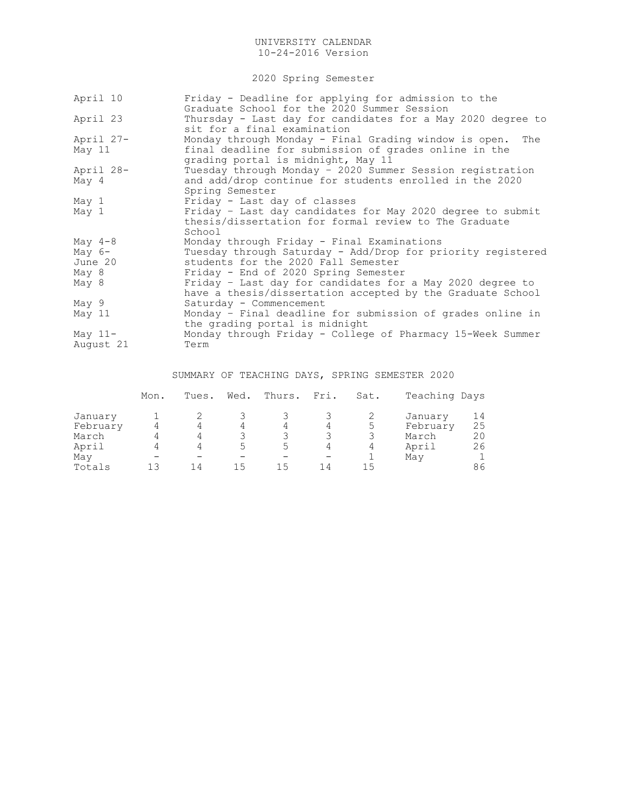2020 Spring Semester

| Friday - Deadline for applying for admission to the<br>Graduate School for the 2020 Summer Session                                                       |
|----------------------------------------------------------------------------------------------------------------------------------------------------------|
| Thursday - Last day for candidates for a May 2020 degree to<br>sit for a final examination                                                               |
| Monday through Monday - Final Grading window is open. The<br>final deadline for submission of grades online in the<br>grading portal is midnight, May 11 |
| Tuesday through Monday - 2020 Summer Session registration<br>and add/drop continue for students enrolled in the 2020<br>Spring Semester                  |
| Friday - Last day of classes                                                                                                                             |
| Friday - Last day candidates for May 2020 degree to submit<br>thesis/dissertation for formal review to The Graduate<br>School                            |
| Monday through Friday - Final Examinations                                                                                                               |
| Tuesday through Saturday - Add/Drop for priority registered<br>students for the 2020 Fall Semester<br>Friday - End of 2020 Spring Semester               |
| Friday - Last day for candidates for a May 2020 degree to<br>have a thesis/dissertation accepted by the Graduate School                                  |
| Saturday - Commencement                                                                                                                                  |
| Monday - Final deadline for submission of grades online in<br>the grading portal is midnight                                                             |
| Monday through Friday - College of Pharmacy 15-Week Summer<br>Term                                                                                       |
|                                                                                                                                                          |

# SUMMARY OF TEACHING DAYS, SPRING SEMESTER 2020

|          | Mon. | Tues. | Wed. | Thurs. | Fri. | Sat. | Teaching Days |              |
|----------|------|-------|------|--------|------|------|---------------|--------------|
| January  |      |       |      |        |      |      | January       | 14           |
| February |      |       | 4    | 4      | 4    | 5    | February      | 25           |
| March    |      |       |      |        |      |      | March         | 20           |
| April    |      |       |      | ∽      | 4    | 4    | April         | 26           |
| May      |      |       |      |        |      |      | May           | $\mathbf{1}$ |
| Totals   |      | 14    |      |        | 14   | 15   |               | 86           |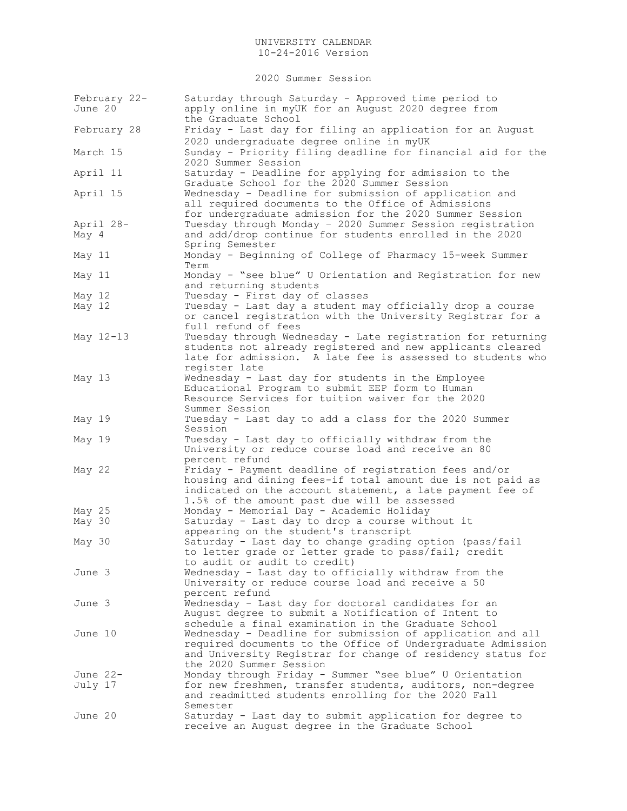2020 Summer Session

| February 22-<br>June 20 | Saturday through Saturday - Approved time period to<br>apply online in myUK for an August 2020 degree from<br>the Graduate School                                                                                                                                          |
|-------------------------|----------------------------------------------------------------------------------------------------------------------------------------------------------------------------------------------------------------------------------------------------------------------------|
| February 28             | Friday - Last day for filing an application for an August<br>2020 undergraduate degree online in myUK                                                                                                                                                                      |
| March 15                | Sunday - Priority filing deadline for financial aid for the<br>2020 Summer Session                                                                                                                                                                                         |
| April 11                | Saturday - Deadline for applying for admission to the<br>Graduate School for the 2020 Summer Session                                                                                                                                                                       |
| April 15                | Wednesday - Deadline for submission of application and<br>all required documents to the Office of Admissions<br>for undergraduate admission for the 2020 Summer Session                                                                                                    |
| April 28-<br>May 4      | Tuesday through Monday - 2020 Summer Session registration<br>and add/drop continue for students enrolled in the 2020<br>Spring Semester                                                                                                                                    |
| May 11                  | Monday - Beginning of College of Pharmacy 15-week Summer<br>Term                                                                                                                                                                                                           |
| May 11                  | Monday - "see blue" U Orientation and Registration for new<br>and returning students                                                                                                                                                                                       |
| May 12<br>May 12        | Tuesday - First day of classes<br>Tuesday - Last day a student may officially drop a course<br>or cancel registration with the University Registrar for a<br>full refund of fees                                                                                           |
| May 12-13               | Tuesday through Wednesday - Late registration for returning<br>students not already registered and new applicants cleared<br>late for admission. A late fee is assessed to students who<br>register late                                                                   |
| May 13                  | Wednesday - Last day for students in the Employee<br>Educational Program to submit EEP form to Human<br>Resource Services for tuition waiver for the 2020<br>Summer Session                                                                                                |
| May 19                  | Tuesday - Last day to add a class for the 2020 Summer<br>Session                                                                                                                                                                                                           |
| May 19                  | Tuesday - Last day to officially withdraw from the<br>University or reduce course load and receive an 80<br>percent refund                                                                                                                                                 |
| May 22                  | Friday - Payment deadline of registration fees and/or<br>housing and dining fees-if total amount due is not paid as<br>indicated on the account statement, a late payment fee of<br>1.5% of the amount past due will be assessed                                           |
| May 25<br>May 30        | Monday - Memorial Day - Academic Holiday<br>Saturday - Last day to drop a course without it                                                                                                                                                                                |
| May 30                  | appearing on the student's transcript<br>Saturday - Last day to change grading option (pass/fail<br>to letter grade or letter grade to pass/fail; credit                                                                                                                   |
| June 3                  | to audit or audit to credit)<br>Wednesday - Last day to officially withdraw from the<br>University or reduce course load and receive a 50                                                                                                                                  |
| June 3                  | percent refund<br>Wednesday - Last day for doctoral candidates for an<br>August degree to submit a Notification of Intent to                                                                                                                                               |
| June 10                 | schedule a final examination in the Graduate School<br>Wednesday - Deadline for submission of application and all<br>required documents to the Office of Undergraduate Admission<br>and University Registrar for change of residency status for<br>the 2020 Summer Session |
| June 22-<br>July 17     | Monday through Friday - Summer "see blue" U Orientation<br>for new freshmen, transfer students, auditors, non-degree<br>and readmitted students enrolling for the 2020 Fall<br>Semester                                                                                    |
| June 20                 | Saturday - Last day to submit application for degree to<br>receive an August degree in the Graduate School                                                                                                                                                                 |